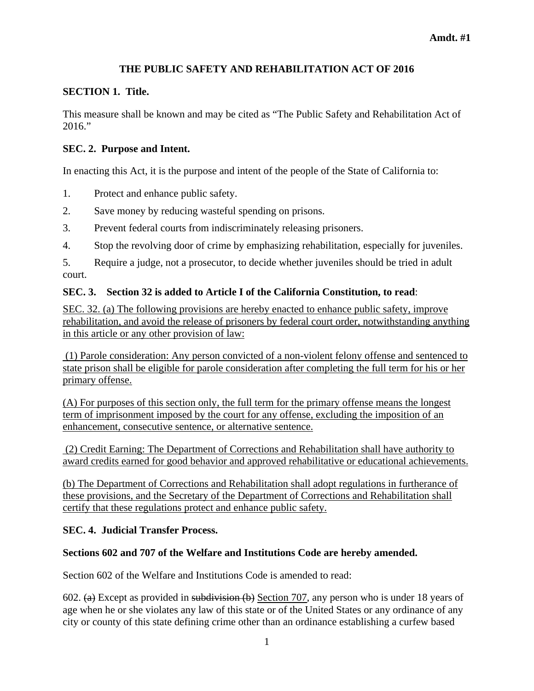# **THE PUBLIC SAFETY AND REHABILITATION ACT OF 2016**

## **SECTION 1. Title.**

This measure shall be known and may be cited as "The Public Safety and Rehabilitation Act of 2016."

## **SEC. 2. Purpose and Intent.**

In enacting this Act, it is the purpose and intent of the people of the State of California to:

- 1. Protect and enhance public safety.
- 2. Save money by reducing wasteful spending on prisons.
- 3. Prevent federal courts from indiscriminately releasing prisoners.
- 4. Stop the revolving door of crime by emphasizing rehabilitation, especially for juveniles.

5. Require a judge, not a prosecutor, to decide whether juveniles should be tried in adult court.

# **SEC. 3. Section 32 is added to Article I of the California Constitution, to read**:

SEC. 32. (a) The following provisions are hereby enacted to enhance public safety, improve rehabilitation, and avoid the release of prisoners by federal court order, notwithstanding anything in this article or any other provision of law:

 (1) Parole consideration: Any person convicted of a non-violent felony offense and sentenced to state prison shall be eligible for parole consideration after completing the full term for his or her primary offense.

(A) For purposes of this section only, the full term for the primary offense means the longest term of imprisonment imposed by the court for any offense, excluding the imposition of an enhancement, consecutive sentence, or alternative sentence.

 (2) Credit Earning: The Department of Corrections and Rehabilitation shall have authority to award credits earned for good behavior and approved rehabilitative or educational achievements.

(b) The Department of Corrections and Rehabilitation shall adopt regulations in furtherance of these provisions, and the Secretary of the Department of Corrections and Rehabilitation shall certify that these regulations protect and enhance public safety.

#### **SEC. 4. Judicial Transfer Process.**

#### **Sections 602 and 707 of the Welfare and Institutions Code are hereby amended.**

Section 602 of the Welfare and Institutions Code is amended to read:

602. (a) Except as provided in subdivision (b) Section 707, any person who is under 18 years of age when he or she violates any law of this state or of the United States or any ordinance of any city or county of this state defining crime other than an ordinance establishing a curfew based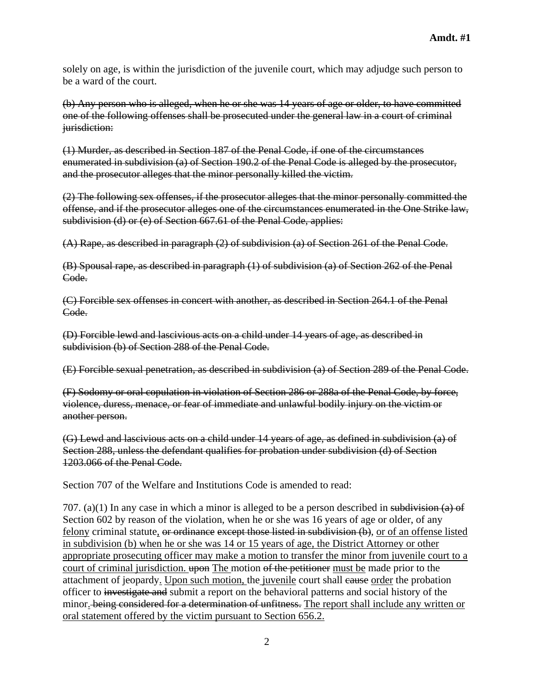solely on age, is within the jurisdiction of the juvenile court, which may adjudge such person to be a ward of the court.

(b) Any person who is alleged, when he or she was 14 years of age or older, to have committed one of the following offenses shall be prosecuted under the general law in a court of criminal jurisdiction:

(1) Murder, as described in Section 187 of the Penal Code, if one of the circumstances enumerated in subdivision (a) of Section 190.2 of the Penal Code is alleged by the prosecutor, and the prosecutor alleges that the minor personally killed the victim.

(2) The following sex offenses, if the prosecutor alleges that the minor personally committed the offense, and if the prosecutor alleges one of the circumstances enumerated in the One Strike law, subdivision (d) or (e) of Section 667.61 of the Penal Code, applies:

(A) Rape, as described in paragraph (2) of subdivision (a) of Section 261 of the Penal Code.

(B) Spousal rape, as described in paragraph (1) of subdivision (a) of Section 262 of the Penal Code.

(C) Forcible sex offenses in concert with another, as described in Section 264.1 of the Penal Code.

(D) Forcible lewd and lascivious acts on a child under 14 years of age, as described in subdivision (b) of Section 288 of the Penal Code.

(E) Forcible sexual penetration, as described in subdivision (a) of Section 289 of the Penal Code.

(F) Sodomy or oral copulation in violation of Section 286 or 288a of the Penal Code, by force, violence, duress, menace, or fear of immediate and unlawful bodily injury on the victim or another person.

(G) Lewd and lascivious acts on a child under 14 years of age, as defined in subdivision (a) of Section 288, unless the defendant qualifies for probation under subdivision (d) of Section 1203.066 of the Penal Code.

Section 707 of the Welfare and Institutions Code is amended to read:

707. (a)(1) In any case in which a minor is alleged to be a person described in subdivision (a) of Section 602 by reason of the violation, when he or she was 16 years of age or older, of any felony criminal statute, or ordinance except those listed in subdivision (b), or of an offense listed in subdivision (b) when he or she was 14 or 15 years of age, the District Attorney or other appropriate prosecuting officer may make a motion to transfer the minor from juvenile court to a court of criminal jurisdiction. upon The motion of the petitioner must be made prior to the attachment of jeopardy. Upon such motion, the juvenile court shall eause order the probation officer to investigate and submit a report on the behavioral patterns and social history of the minor. being considered for a determination of unfitness. The report shall include any written or oral statement offered by the victim pursuant to Section 656.2.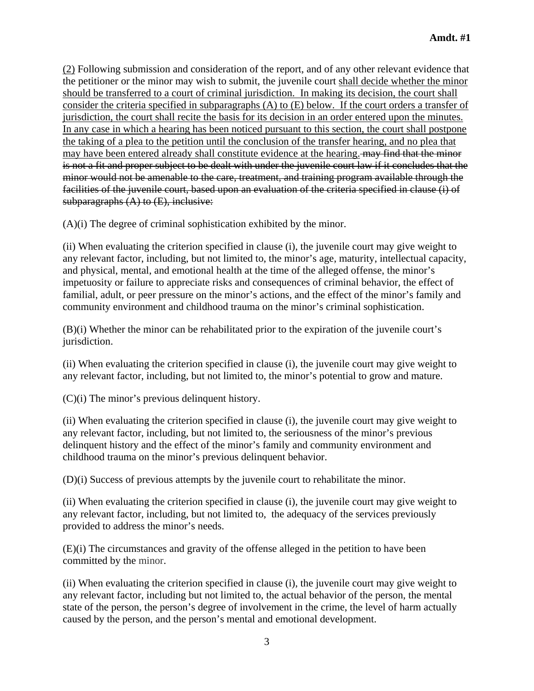(2) Following submission and consideration of the report, and of any other relevant evidence that the petitioner or the minor may wish to submit, the juvenile court shall decide whether the minor should be transferred to a court of criminal jurisdiction. In making its decision, the court shall consider the criteria specified in subparagraphs (A) to (E) below. If the court orders a transfer of jurisdiction, the court shall recite the basis for its decision in an order entered upon the minutes. In any case in which a hearing has been noticed pursuant to this section, the court shall postpone the taking of a plea to the petition until the conclusion of the transfer hearing, and no plea that may have been entered already shall constitute evidence at the hearing. may find that the minor is not a fit and proper subject to be dealt with under the juvenile court law if it concludes that the minor would not be amenable to the care, treatment, and training program available through the facilities of the juvenile court, based upon an evaluation of the criteria specified in clause (i) of subparagraphs  $(A)$  to  $(E)$ , inclusive:

(A)(i) The degree of criminal sophistication exhibited by the minor.

(ii) When evaluating the criterion specified in clause (i), the juvenile court may give weight to any relevant factor, including, but not limited to, the minor's age, maturity, intellectual capacity, and physical, mental, and emotional health at the time of the alleged offense, the minor's impetuosity or failure to appreciate risks and consequences of criminal behavior, the effect of familial, adult, or peer pressure on the minor's actions, and the effect of the minor's family and community environment and childhood trauma on the minor's criminal sophistication.

(B)(i) Whether the minor can be rehabilitated prior to the expiration of the juvenile court's jurisdiction.

(ii) When evaluating the criterion specified in clause (i), the juvenile court may give weight to any relevant factor, including, but not limited to, the minor's potential to grow and mature.

(C)(i) The minor's previous delinquent history.

(ii) When evaluating the criterion specified in clause (i), the juvenile court may give weight to any relevant factor, including, but not limited to, the seriousness of the minor's previous delinquent history and the effect of the minor's family and community environment and childhood trauma on the minor's previous delinquent behavior.

(D)(i) Success of previous attempts by the juvenile court to rehabilitate the minor.

(ii) When evaluating the criterion specified in clause (i), the juvenile court may give weight to any relevant factor, including, but not limited to, the adequacy of the services previously provided to address the minor's needs.

(E)(i) The circumstances and gravity of the offense alleged in the petition to have been committed by the minor.

(ii) When evaluating the criterion specified in clause (i), the juvenile court may give weight to any relevant factor, including but not limited to, the actual behavior of the person, the mental state of the person, the person's degree of involvement in the crime, the level of harm actually caused by the person, and the person's mental and emotional development.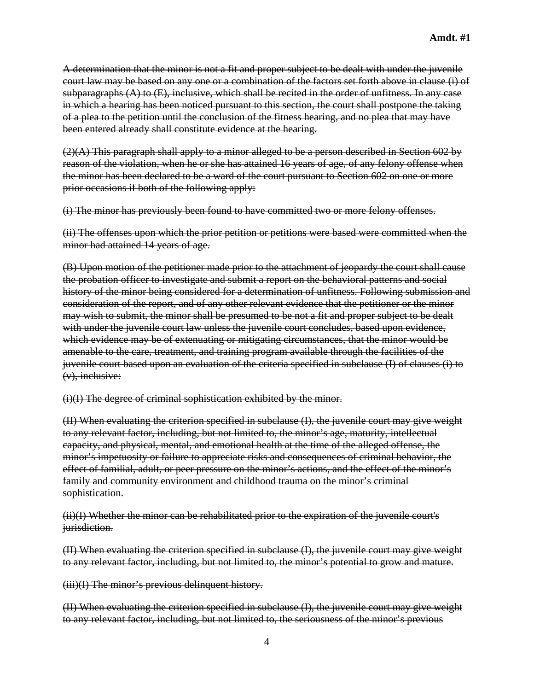A determination that the minor is not a fit and proper subject to be dealt with under the juvenile court law may be based on any one or a combination of the factors set forth above in clause (i) of subparagraphs  $(A)$  to  $(E)$ , inclusive, which shall be recited in the order of unfitness. In any case in which a hearing has been noticed pursuant to this section, the court shall postpone the taking of a plea to the petition until the conclusion of the fitness hearing, and no plea that may have been entered already shall constitute evidence at the hearing.

 $(2)$ (A) This paragraph shall apply to a minor alleged to be a person described in Section 602 by reason of the violation, when he or she has attained 16 years of age, of any felony offense when the minor has been declared to be a ward of the court pursuant to Section 602 on one or more prior occasions if both of the following apply:

(i) The minor has previously been found to have committed two or more felony offenses.

(ii) The offenses upon which the prior petition or petitions were based were committed when the minor had attained 14 years of age.

(B) Upon motion of the petitioner made prior to the attachment of jeopardy the court shall cause the probation officer to investigate and submit a report on the behavioral patterns and social history of the minor being considered for a determination of unfitness. Following submission and consideration of the report, and of any other relevant evidence that the petitioner or the minor may wish to submit, the minor shall be presumed to be not a fit and proper subject to be dealt with under the juvenile court law unless the juvenile court concludes, based upon evidence, which evidence may be of extenuating or mitigating circumstances, that the minor would be amenable to the care, treatment, and training program available through the facilities of the juvenile court based upon an evaluation of the criteria specified in subclause (I) of clauses (i) to  $(v)$ , inclusive:

(i)(I) The degree of criminal sophistication exhibited by the minor.

(II) When evaluating the criterion specified in subclause (I), the juvenile court may give weight to any relevant factor, including, but not limited to, the minor's age, maturity, intellectual capacity, and physical, mental, and emotional health at the time of the alleged offense, the minor's impetuosity or failure to appreciate risks and consequences of criminal behavior, the effect of familial, adult, or peer pressure on the minor's actions, and the effect of the minor's family and community environment and childhood trauma on the minor's criminal sophistication.

(ii)(I) Whether the minor can be rehabilitated prior to the expiration of the juvenile court's jurisdiction.

(II) When evaluating the criterion specified in subclause (I), the juvenile court may give weight to any relevant factor, including, but not limited to, the minor's potential to grow and mature.

(iii)(I) The minor's previous delinquent history.

(II) When evaluating the criterion specified in subclause (I), the juvenile court may give weight to any relevant factor, including, but not limited to, the seriousness of the minor's previous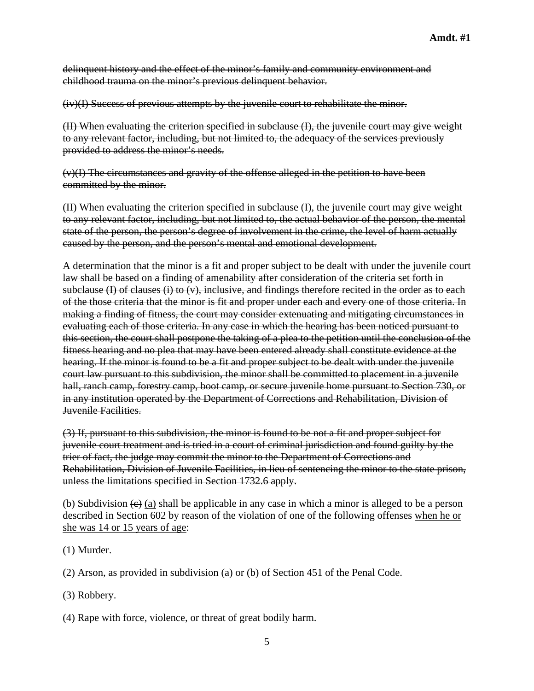delinquent history and the effect of the minor's family and community environment and childhood trauma on the minor's previous delinquent behavior.

(iv)(I) Success of previous attempts by the juvenile court to rehabilitate the minor.

(II) When evaluating the criterion specified in subclause (I), the juvenile court may give weight to any relevant factor, including, but not limited to, the adequacy of the services previously provided to address the minor's needs.

(v)(I) The circumstances and gravity of the offense alleged in the petition to have been committed by the minor.

(II) When evaluating the criterion specified in subclause (I), the juvenile court may give weight to any relevant factor, including, but not limited to, the actual behavior of the person, the mental state of the person, the person's degree of involvement in the crime, the level of harm actually caused by the person, and the person's mental and emotional development.

A determination that the minor is a fit and proper subject to be dealt with under the juvenile court law shall be based on a finding of amenability after consideration of the criteria set forth in subclause (I) of clauses (i) to (v), inclusive, and findings therefore recited in the order as to each of the those criteria that the minor is fit and proper under each and every one of those criteria. In making a finding of fitness, the court may consider extenuating and mitigating circumstances in evaluating each of those criteria. In any case in which the hearing has been noticed pursuant to this section, the court shall postpone the taking of a plea to the petition until the conclusion of the fitness hearing and no plea that may have been entered already shall constitute evidence at the hearing. If the minor is found to be a fit and proper subject to be dealt with under the juvenile court law pursuant to this subdivision, the minor shall be committed to placement in a juvenile hall, ranch camp, forestry camp, boot camp, or secure juvenile home pursuant to Section 730, or in any institution operated by the Department of Corrections and Rehabilitation, Division of Juvenile Facilities.

(3) If, pursuant to this subdivision, the minor is found to be not a fit and proper subject for juvenile court treatment and is tried in a court of criminal jurisdiction and found guilty by the trier of fact, the judge may commit the minor to the Department of Corrections and Rehabilitation, Division of Juvenile Facilities, in lieu of sentencing the minor to the state prison, unless the limitations specified in Section 1732.6 apply.

(b) Subdivision  $\left(\frac{c}{c}\right)$  (a) shall be applicable in any case in which a minor is alleged to be a person described in Section 602 by reason of the violation of one of the following offenses when he or she was 14 or 15 years of age:

(1) Murder.

(2) Arson, as provided in subdivision (a) or (b) of Section 451 of the Penal Code.

- (3) Robbery.
- (4) Rape with force, violence, or threat of great bodily harm.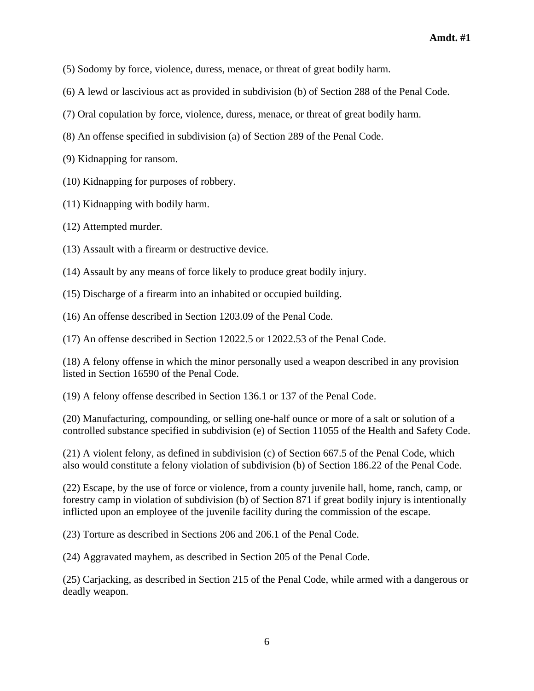- (5) Sodomy by force, violence, duress, menace, or threat of great bodily harm.
- (6) A lewd or lascivious act as provided in subdivision (b) of Section 288 of the Penal Code.
- (7) Oral copulation by force, violence, duress, menace, or threat of great bodily harm.
- (8) An offense specified in subdivision (a) of Section 289 of the Penal Code.
- (9) Kidnapping for ransom.
- (10) Kidnapping for purposes of robbery.
- (11) Kidnapping with bodily harm.
- (12) Attempted murder.
- (13) Assault with a firearm or destructive device.
- (14) Assault by any means of force likely to produce great bodily injury.
- (15) Discharge of a firearm into an inhabited or occupied building.
- (16) An offense described in Section 1203.09 of the Penal Code.
- (17) An offense described in Section 12022.5 or 12022.53 of the Penal Code.

(18) A felony offense in which the minor personally used a weapon described in any provision listed in Section 16590 of the Penal Code.

(19) A felony offense described in Section 136.1 or 137 of the Penal Code.

(20) Manufacturing, compounding, or selling one-half ounce or more of a salt or solution of a controlled substance specified in subdivision (e) of Section 11055 of the Health and Safety Code.

(21) A violent felony, as defined in subdivision (c) of Section 667.5 of the Penal Code, which also would constitute a felony violation of subdivision (b) of Section 186.22 of the Penal Code.

(22) Escape, by the use of force or violence, from a county juvenile hall, home, ranch, camp, or forestry camp in violation of subdivision (b) of Section 871 if great bodily injury is intentionally inflicted upon an employee of the juvenile facility during the commission of the escape.

(23) Torture as described in Sections 206 and 206.1 of the Penal Code.

(24) Aggravated mayhem, as described in Section 205 of the Penal Code.

(25) Carjacking, as described in Section 215 of the Penal Code, while armed with a dangerous or deadly weapon.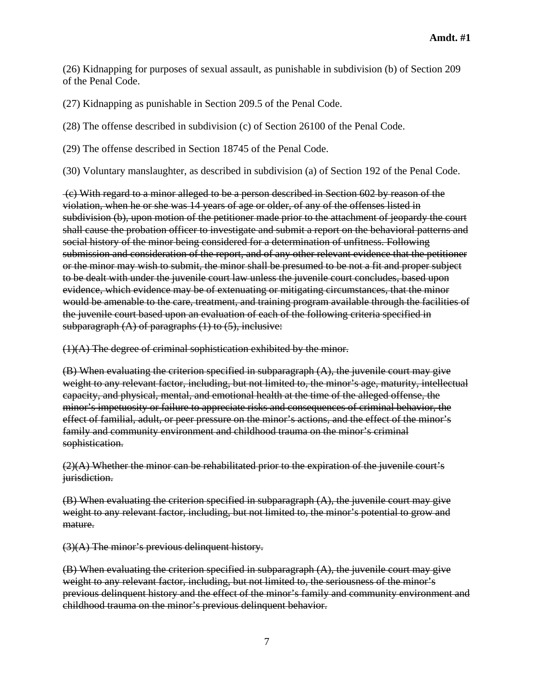(26) Kidnapping for purposes of sexual assault, as punishable in subdivision (b) of Section 209 of the Penal Code.

(27) Kidnapping as punishable in Section 209.5 of the Penal Code.

(28) The offense described in subdivision (c) of Section 26100 of the Penal Code.

(29) The offense described in Section 18745 of the Penal Code.

(30) Voluntary manslaughter, as described in subdivision (a) of Section 192 of the Penal Code.

 (c) With regard to a minor alleged to be a person described in Section 602 by reason of the violation, when he or she was 14 years of age or older, of any of the offenses listed in subdivision (b), upon motion of the petitioner made prior to the attachment of jeopardy the court shall cause the probation officer to investigate and submit a report on the behavioral patterns and social history of the minor being considered for a determination of unfitness. Following submission and consideration of the report, and of any other relevant evidence that the petitioner or the minor may wish to submit, the minor shall be presumed to be not a fit and proper subject to be dealt with under the juvenile court law unless the juvenile court concludes, based upon evidence, which evidence may be of extenuating or mitigating circumstances, that the minor would be amenable to the care, treatment, and training program available through the facilities of the juvenile court based upon an evaluation of each of the following criteria specified in subparagraph  $(A)$  of paragraphs  $(1)$  to  $(5)$ , inclusive:

 $(1)(A)$  The degree of criminal sophistication exhibited by the minor.

(B) When evaluating the criterion specified in subparagraph (A), the juvenile court may give weight to any relevant factor, including, but not limited to, the minor's age, maturity, intellectual capacity, and physical, mental, and emotional health at the time of the alleged offense, the minor's impetuosity or failure to appreciate risks and consequences of criminal behavior, the effect of familial, adult, or peer pressure on the minor's actions, and the effect of the minor's family and community environment and childhood trauma on the minor's criminal sophistication.

 $(2)$ (A) Whether the minor can be rehabilitated prior to the expiration of the juvenile court's jurisdiction.

(B) When evaluating the criterion specified in subparagraph (A), the juvenile court may give weight to any relevant factor, including, but not limited to, the minor's potential to grow and mature.

 $(3)(A)$  The minor's previous delinquent history.

(B) When evaluating the criterion specified in subparagraph (A), the juvenile court may give weight to any relevant factor, including, but not limited to, the seriousness of the minor's previous delinquent history and the effect of the minor's family and community environment and childhood trauma on the minor's previous delinquent behavior.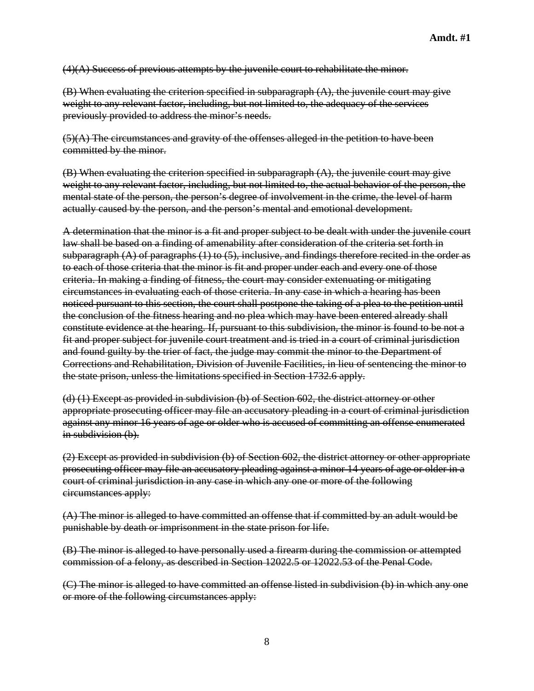(4)(A) Success of previous attempts by the juvenile court to rehabilitate the minor.

(B) When evaluating the criterion specified in subparagraph (A), the juvenile court may give weight to any relevant factor, including, but not limited to, the adequacy of the services previously provided to address the minor's needs.

 $(5)(A)$  The circumstances and gravity of the offenses alleged in the petition to have been committed by the minor.

(B) When evaluating the criterion specified in subparagraph (A), the juvenile court may give weight to any relevant factor, including, but not limited to, the actual behavior of the person, the mental state of the person, the person's degree of involvement in the crime, the level of harm actually caused by the person, and the person's mental and emotional development.

A determination that the minor is a fit and proper subject to be dealt with under the juvenile court law shall be based on a finding of amenability after consideration of the criteria set forth in subparagraph  $(A)$  of paragraphs  $(1)$  to  $(5)$ , inclusive, and findings therefore recited in the order as to each of those criteria that the minor is fit and proper under each and every one of those criteria. In making a finding of fitness, the court may consider extenuating or mitigating circumstances in evaluating each of those criteria. In any case in which a hearing has been noticed pursuant to this section, the court shall postpone the taking of a plea to the petition until the conclusion of the fitness hearing and no plea which may have been entered already shall constitute evidence at the hearing. If, pursuant to this subdivision, the minor is found to be not a fit and proper subject for juvenile court treatment and is tried in a court of criminal jurisdiction and found guilty by the trier of fact, the judge may commit the minor to the Department of Corrections and Rehabilitation, Division of Juvenile Facilities, in lieu of sentencing the minor to the state prison, unless the limitations specified in Section 1732.6 apply.

(d) (1) Except as provided in subdivision (b) of Section 602, the district attorney or other appropriate prosecuting officer may file an accusatory pleading in a court of criminal jurisdiction against any minor 16 years of age or older who is accused of committing an offense enumerated in subdivision (b).

(2) Except as provided in subdivision (b) of Section 602, the district attorney or other appropriate prosecuting officer may file an accusatory pleading against a minor 14 years of age or older in a court of criminal jurisdiction in any case in which any one or more of the following circumstances apply:

(A) The minor is alleged to have committed an offense that if committed by an adult would be punishable by death or imprisonment in the state prison for life.

(B) The minor is alleged to have personally used a firearm during the commission or attempted commission of a felony, as described in Section 12022.5 or 12022.53 of the Penal Code.

(C) The minor is alleged to have committed an offense listed in subdivision (b) in which any one or more of the following circumstances apply: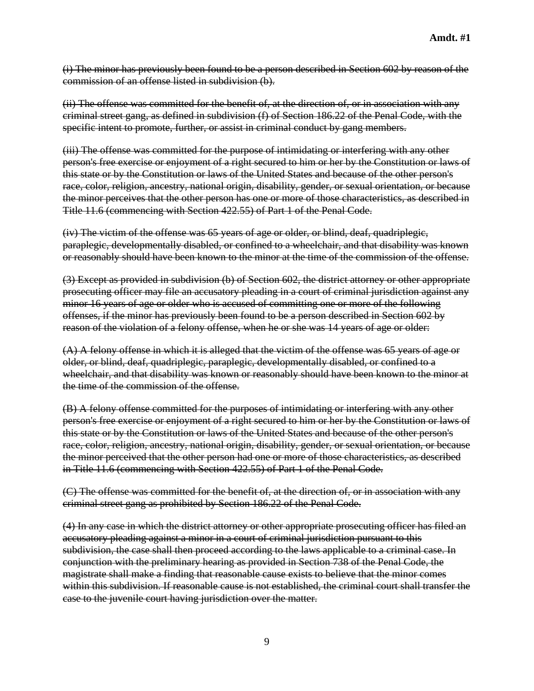(i) The minor has previously been found to be a person described in Section 602 by reason of the commission of an offense listed in subdivision (b).

(ii) The offense was committed for the benefit of, at the direction of, or in association with any criminal street gang, as defined in subdivision (f) of Section 186.22 of the Penal Code, with the specific intent to promote, further, or assist in criminal conduct by gang members.

(iii) The offense was committed for the purpose of intimidating or interfering with any other person's free exercise or enjoyment of a right secured to him or her by the Constitution or laws of this state or by the Constitution or laws of the United States and because of the other person's race, color, religion, ancestry, national origin, disability, gender, or sexual orientation, or because the minor perceives that the other person has one or more of those characteristics, as described in Title 11.6 (commencing with Section 422.55) of Part 1 of the Penal Code.

(iv) The victim of the offense was 65 years of age or older, or blind, deaf, quadriplegic, paraplegic, developmentally disabled, or confined to a wheelchair, and that disability was known or reasonably should have been known to the minor at the time of the commission of the offense.

(3) Except as provided in subdivision (b) of Section 602, the district attorney or other appropriate prosecuting officer may file an accusatory pleading in a court of criminal jurisdiction against any minor 16 years of age or older who is accused of committing one or more of the following offenses, if the minor has previously been found to be a person described in Section 602 by reason of the violation of a felony offense, when he or she was 14 years of age or older:

(A) A felony offense in which it is alleged that the victim of the offense was 65 years of age or older, or blind, deaf, quadriplegic, paraplegic, developmentally disabled, or confined to a wheelchair, and that disability was known or reasonably should have been known to the minor at the time of the commission of the offense.

(B) A felony offense committed for the purposes of intimidating or interfering with any other person's free exercise or enjoyment of a right secured to him or her by the Constitution or laws of this state or by the Constitution or laws of the United States and because of the other person's race, color, religion, ancestry, national origin, disability, gender, or sexual orientation, or because the minor perceived that the other person had one or more of those characteristics, as described in Title 11.6 (commencing with Section 422.55) of Part 1 of the Penal Code.

(C) The offense was committed for the benefit of, at the direction of, or in association with any criminal street gang as prohibited by Section 186.22 of the Penal Code.

(4) In any case in which the district attorney or other appropriate prosecuting officer has filed an accusatory pleading against a minor in a court of criminal jurisdiction pursuant to this subdivision, the case shall then proceed according to the laws applicable to a criminal case. In conjunction with the preliminary hearing as provided in Section 738 of the Penal Code, the magistrate shall make a finding that reasonable cause exists to believe that the minor comes within this subdivision. If reasonable cause is not established, the criminal court shall transfer the case to the juvenile court having jurisdiction over the matter.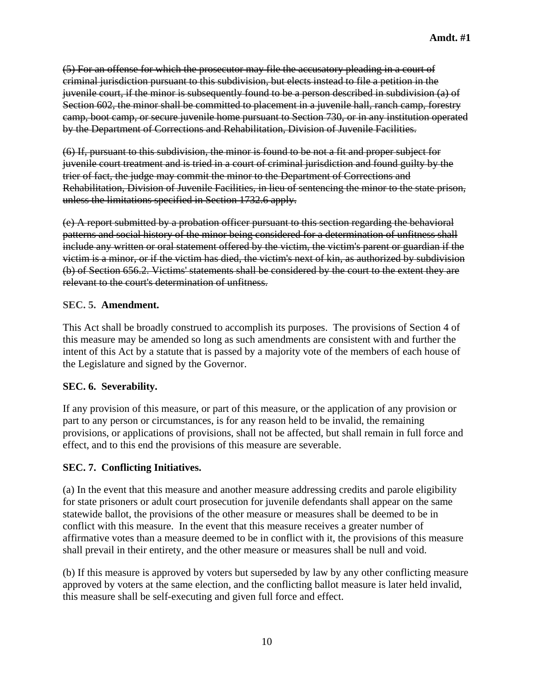(5) For an offense for which the prosecutor may file the accusatory pleading in a court of criminal jurisdiction pursuant to this subdivision, but elects instead to file a petition in the juvenile court, if the minor is subsequently found to be a person described in subdivision (a) of Section 602, the minor shall be committed to placement in a juvenile hall, ranch camp, forestry camp, boot camp, or secure juvenile home pursuant to Section 730, or in any institution operated by the Department of Corrections and Rehabilitation, Division of Juvenile Facilities.

(6) If, pursuant to this subdivision, the minor is found to be not a fit and proper subject for juvenile court treatment and is tried in a court of criminal jurisdiction and found guilty by the trier of fact, the judge may commit the minor to the Department of Corrections and Rehabilitation, Division of Juvenile Facilities, in lieu of sentencing the minor to the state prison, unless the limitations specified in Section 1732.6 apply.

(e) A report submitted by a probation officer pursuant to this section regarding the behavioral patterns and social history of the minor being considered for a determination of unfitness shall include any written or oral statement offered by the victim, the victim's parent or guardian if the victim is a minor, or if the victim has died, the victim's next of kin, as authorized by subdivision (b) of Section 656.2. Victims' statements shall be considered by the court to the extent they are relevant to the court's determination of unfitness.

# **SEC. 5. Amendment.**

This Act shall be broadly construed to accomplish its purposes. The provisions of Section 4 of this measure may be amended so long as such amendments are consistent with and further the intent of this Act by a statute that is passed by a majority vote of the members of each house of the Legislature and signed by the Governor.

#### **SEC. 6. Severability.**

If any provision of this measure, or part of this measure, or the application of any provision or part to any person or circumstances, is for any reason held to be invalid, the remaining provisions, or applications of provisions, shall not be affected, but shall remain in full force and effect, and to this end the provisions of this measure are severable.

# **SEC. 7. Conflicting Initiatives.**

(a) In the event that this measure and another measure addressing credits and parole eligibility for state prisoners or adult court prosecution for juvenile defendants shall appear on the same statewide ballot, the provisions of the other measure or measures shall be deemed to be in conflict with this measure. In the event that this measure receives a greater number of affirmative votes than a measure deemed to be in conflict with it, the provisions of this measure shall prevail in their entirety, and the other measure or measures shall be null and void.

(b) If this measure is approved by voters but superseded by law by any other conflicting measure approved by voters at the same election, and the conflicting ballot measure is later held invalid, this measure shall be self-executing and given full force and effect.